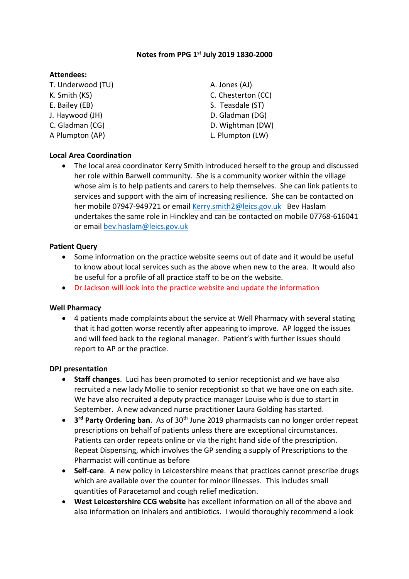### **Notes from PPG 1st July 2019 1830-2000**

#### **Attendees:**

- T. Underwood (TU) A. Jones (AJ)
- 
- 
- 
- 
- A Plumpton (AP) and the contract of the contract of the contract of the contract of the contract of the contract of the contract of the contract of the contract of the contract of the contract of the contract of the contra

## **Local Area Coordination**

K. Smith (KS) C. Chesterton (CC) E. Bailey (EB) S. Teasdale (ST) J. Haywood (JH) D. Gladman (DG) C. Gladman (CG) D. Wightman (DW)

 The local area coordinator Kerry Smith introduced herself to the group and discussed her role within Barwell community. She is a community worker within the village whose aim is to help patients and carers to help themselves. She can link patients to services and support with the aim of increasing resilience. She can be contacted on her mobile 07947-949721 or emai[l Kerry.smith2@leics.gov.uk](mailto:Kerry.smith2@leics.gov.uk) Bev Haslam undertakes the same role in Hinckley and can be contacted on mobile 07768-616041 or emai[l bev.haslam@leics.gov.uk](mailto:bev.haslam@leics.gov.uk)

## **Patient Query**

- Some information on the practice website seems out of date and it would be useful to know about local services such as the above when new to the area. It would also be useful for a profile of all practice staff to be on the website.
- Dr Jackson will look into the practice website and update the information

#### **Well Pharmacy**

 4 patients made complaints about the service at Well Pharmacy with several stating that it had gotten worse recently after appearing to improve. AP logged the issues and will feed back to the regional manager. Patient's with further issues should report to AP or the practice.

#### **DPJ presentation**

- **Staff changes**. Luci has been promoted to senior receptionist and we have also recruited a new lady Mollie to senior receptionist so that we have one on each site. We have also recruited a deputy practice manager Louise who is due to start in September. A new advanced nurse practitioner Laura Golding has started.
- **3<sup>rd</sup> Party Ordering ban**. As of 30<sup>th</sup> June 2019 pharmacists can no longer order repeat prescriptions on behalf of patients unless there are exceptional circumstances. Patients can order repeats online or via the right hand side of the prescription. Repeat Dispensing, which involves the GP sending a supply of Prescriptions to the Pharmacist will continue as before
- **Self**-**care**. A new policy in Leicestershire means that practices cannot prescribe drugs which are available over the counter for minor illnesses. This includes small quantities of Paracetamol and cough relief medication.
- **West Leicestershire CCG website** has excellent information on all of the above and also information on inhalers and antibiotics. I would thoroughly recommend a look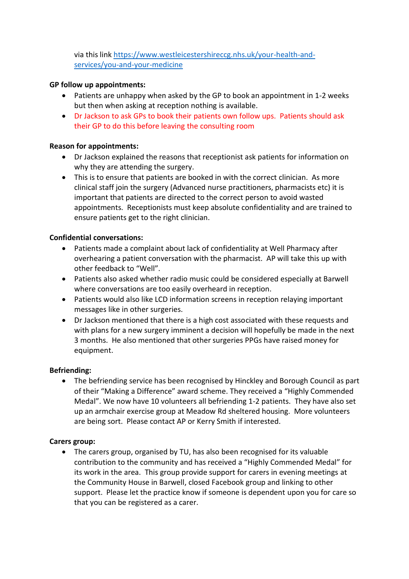via this link [https://www.westleicestershireccg.nhs.uk/your-health-and](https://www.westleicestershireccg.nhs.uk/your-health-and-services/you-and-your-medicine)[services/you-and-your-medicine](https://www.westleicestershireccg.nhs.uk/your-health-and-services/you-and-your-medicine)

# **GP follow up appointments:**

- Patients are unhappy when asked by the GP to book an appointment in 1-2 weeks but then when asking at reception nothing is available.
- Dr Jackson to ask GPs to book their patients own follow ups. Patients should ask their GP to do this before leaving the consulting room

## **Reason for appointments:**

- Dr Jackson explained the reasons that receptionist ask patients for information on why they are attending the surgery.
- This is to ensure that patients are booked in with the correct clinician. As more clinical staff join the surgery (Advanced nurse practitioners, pharmacists etc) it is important that patients are directed to the correct person to avoid wasted appointments. Receptionists must keep absolute confidentiality and are trained to ensure patients get to the right clinician.

## **Confidential conversations:**

- Patients made a complaint about lack of confidentiality at Well Pharmacy after overhearing a patient conversation with the pharmacist. AP will take this up with other feedback to "Well".
- Patients also asked whether radio music could be considered especially at Barwell where conversations are too easily overheard in reception.
- Patients would also like LCD information screens in reception relaying important messages like in other surgeries.
- Dr Jackson mentioned that there is a high cost associated with these requests and with plans for a new surgery imminent a decision will hopefully be made in the next 3 months. He also mentioned that other surgeries PPGs have raised money for equipment.

#### **Befriending:**

 The befriending service has been recognised by Hinckley and Borough Council as part of their "Making a Difference" award scheme. They received a "Highly Commended Medal". We now have 10 volunteers all befriending 1-2 patients. They have also set up an armchair exercise group at Meadow Rd sheltered housing. More volunteers are being sort. Please contact AP or Kerry Smith if interested.

#### **Carers group:**

 The carers group, organised by TU, has also been recognised for its valuable contribution to the community and has received a "Highly Commended Medal" for its work in the area. This group provide support for carers in evening meetings at the Community House in Barwell, closed Facebook group and linking to other support. Please let the practice know if someone is dependent upon you for care so that you can be registered as a carer.